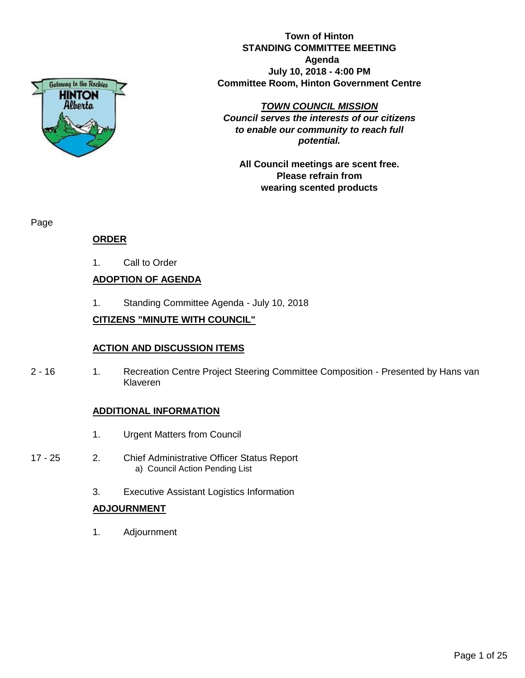

**Town of Hinton STANDING COMMITTEE MEETING Agenda July 10, 2018 - 4:00 PM Committee Room, Hinton Government Centre**

*TOWN COUNCIL MISSION*

*Council serves the interests of our citizens to enable our community to reach full potential.*

**All Council meetings are scent free. Please refrain from wearing scented products**

Page

### **ORDER**

1. Call to Order

### **ADOPTION OF AGENDA**

1. Standing Committee Agenda - July 10, 2018

### **CITIZENS "MINUTE WITH COUNCIL"**

#### **ACTION AND DISCUSSION ITEMS**

2 - 16 1. Recreation Centre Project Steering Committee Composition - Presented by Hans van Klaveren

#### **ADDITIONAL INFORMATION**

- 1. Urgent Matters from Council
- 17 25 2. Chief Administrative Officer Status Report a) Council Action Pending List
	- 3. Executive Assistant Logistics Information

#### **ADJOURNMENT**

1. Adjournment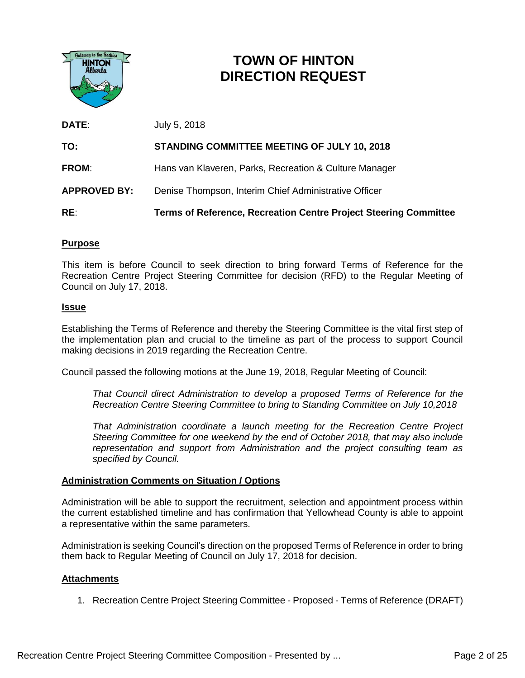

## **TOWN OF HINTON DIRECTION REQUEST**

| DATE:               | July 5, 2018                                                     |
|---------------------|------------------------------------------------------------------|
| TO:                 | <b>STANDING COMMITTEE MEETING OF JULY 10, 2018</b>               |
| <b>FROM:</b>        | Hans van Klaveren, Parks, Recreation & Culture Manager           |
| <b>APPROVED BY:</b> | Denise Thompson, Interim Chief Administrative Officer            |
| RE:                 | Terms of Reference, Recreation Centre Project Steering Committee |

#### **Purpose**

This item is before Council to seek direction to bring forward Terms of Reference for the Recreation Centre Project Steering Committee for decision (RFD) to the Regular Meeting of Council on July 17, 2018.

#### **Issue**

Establishing the Terms of Reference and thereby the Steering Committee is the vital first step of the implementation plan and crucial to the timeline as part of the process to support Council making decisions in 2019 regarding the Recreation Centre.

Council passed the following motions at the June 19, 2018, Regular Meeting of Council:

*That Council direct Administration to develop a proposed Terms of Reference for the Recreation Centre Steering Committee to bring to Standing Committee on July 10,2018*

*That Administration coordinate a launch meeting for the Recreation Centre Project Steering Committee for one weekend by the end of October 2018, that may also include representation and support from Administration and the project consulting team as specified by Council.*

#### **Administration Comments on Situation / Options**

Administration will be able to support the recruitment, selection and appointment process within the current established timeline and has confirmation that Yellowhead County is able to appoint a representative within the same parameters.

Administration is seeking Council's direction on the proposed Terms of Reference in order to bring them back to Regular Meeting of Council on July 17, 2018 for decision.

#### **Attachments**

1. Recreation Centre Project Steering Committee - Proposed - Terms of Reference (DRAFT)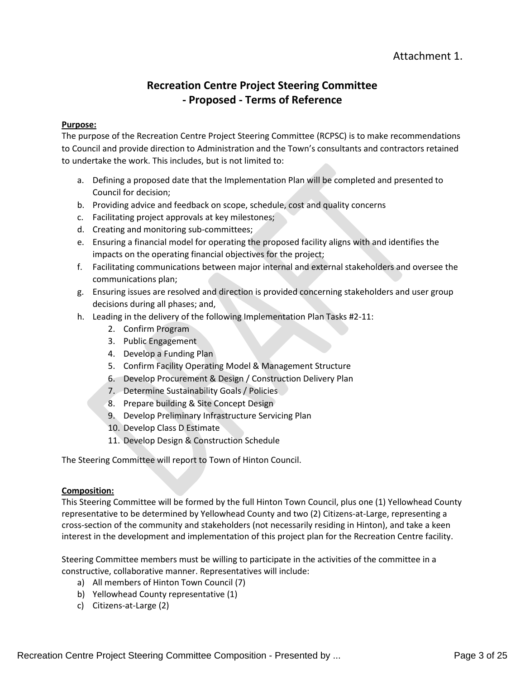### Attachment 1.

### **Recreation Centre Project Steering Committee - Proposed - Terms of Reference**

#### **Purpose:**

The purpose of the Recreation Centre Project Steering Committee (RCPSC) is to make recommendations to Council and provide direction to Administration and the Town's consultants and contractors retained to undertake the work. This includes, but is not limited to:

- a. Defining a proposed date that the Implementation Plan will be completed and presented to Council for decision;
- b. Providing advice and feedback on scope, schedule, cost and quality concerns
- c. Facilitating project approvals at key milestones;
- d. Creating and monitoring sub-committees;
- e. Ensuring a financial model for operating the proposed facility aligns with and identifies the impacts on the operating financial objectives for the project;
- f. Facilitating communications between major internal and external stakeholders and oversee the communications plan;
- g. Ensuring issues are resolved and direction is provided concerning stakeholders and user group decisions during all phases; and,
- h. Leading in the delivery of the following Implementation Plan Tasks #2-11:
	- 2. Confirm Program
	- 3. Public Engagement
	- 4. Develop a Funding Plan
	- 5. Confirm Facility Operating Model & Management Structure
	- 6. Develop Procurement & Design / Construction Delivery Plan
	- 7. Determine Sustainability Goals / Policies
	- 8. Prepare building & Site Concept Design
	- 9. Develop Preliminary Infrastructure Servicing Plan
	- 10. Develop Class D Estimate
	- 11. Develop Design & Construction Schedule

The Steering Committee will report to Town of Hinton Council.

#### **Composition:**

This Steering Committee will be formed by the full Hinton Town Council, plus one (1) Yellowhead County representative to be determined by Yellowhead County and two (2) Citizens-at-Large, representing a cross-section of the community and stakeholders (not necessarily residing in Hinton), and take a keen interest in the development and implementation of this project plan for the Recreation Centre facility.

Steering Committee members must be willing to participate in the activities of the committee in a constructive, collaborative manner. Representatives will include:

- a) All members of Hinton Town Council (7)
- b) Yellowhead County representative (1)
- c) Citizens-at-Large (2)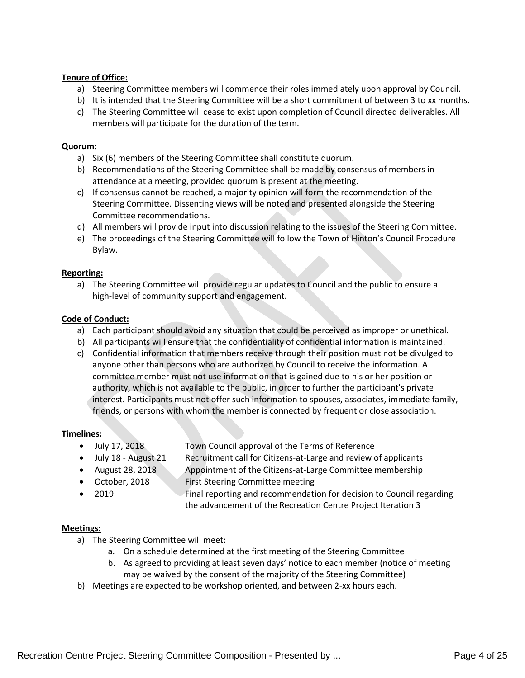#### **Tenure of Office:**

- a) Steering Committee members will commence their roles immediately upon approval by Council.
- b) It is intended that the Steering Committee will be a short commitment of between 3 to xx months.
- c) The Steering Committee will cease to exist upon completion of Council directed deliverables. All members will participate for the duration of the term.

#### **Quorum:**

- a) Six (6) members of the Steering Committee shall constitute quorum.
- b) Recommendations of the Steering Committee shall be made by consensus of members in attendance at a meeting, provided quorum is present at the meeting.
- c) If consensus cannot be reached, a majority opinion will form the recommendation of the Steering Committee. Dissenting views will be noted and presented alongside the Steering Committee recommendations.
- d) All members will provide input into discussion relating to the issues of the Steering Committee.
- e) The proceedings of the Steering Committee will follow the Town of Hinton's Council Procedure Bylaw.

#### **Reporting:**

a) The Steering Committee will provide regular updates to Council and the public to ensure a high-level of community support and engagement.

#### **Code of Conduct:**

- a) Each participant should avoid any situation that could be perceived as improper or unethical.
- b) All participants will ensure that the confidentiality of confidential information is maintained.
- c) Confidential information that members receive through their position must not be divulged to anyone other than persons who are authorized by Council to receive the information. A committee member must not use information that is gained due to his or her position or authority, which is not available to the public, in order to further the participant's private interest. Participants must not offer such information to spouses, associates, immediate family, friends, or persons with whom the member is connected by frequent or close association.

#### **Timelines:**

- July 17, 2018 Town Council approval of the Terms of Reference
- July 18 August 21 Recruitment call for Citizens-at-Large and review of applicants
- August 28, 2018 Appointment of the Citizens-at-Large Committee membership
	- October, 2018 First Steering Committee meeting
	-
	- 2019 Final reporting and recommendation for decision to Council regarding the advancement of the Recreation Centre Project Iteration 3

#### **Meetings:**

- a) The Steering Committee will meet:
	- a. On a schedule determined at the first meeting of the Steering Committee
	- b. As agreed to providing at least seven days' notice to each member (notice of meeting may be waived by the consent of the majority of the Steering Committee)
- b) Meetings are expected to be workshop oriented, and between 2-xx hours each.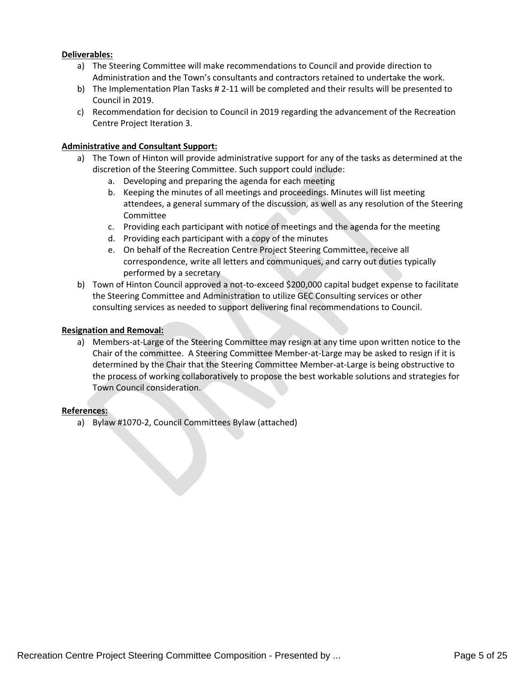#### **Deliverables:**

- a) The Steering Committee will make recommendations to Council and provide direction to Administration and the Town's consultants and contractors retained to undertake the work.
- b) The Implementation Plan Tasks # 2-11 will be completed and their results will be presented to Council in 2019.
- c) Recommendation for decision to Council in 2019 regarding the advancement of the Recreation Centre Project Iteration 3.

#### **Administrative and Consultant Support:**

- a) The Town of Hinton will provide administrative support for any of the tasks as determined at the discretion of the Steering Committee. Such support could include:
	- a. Developing and preparing the agenda for each meeting
	- b. Keeping the minutes of all meetings and proceedings. Minutes will list meeting attendees, a general summary of the discussion, as well as any resolution of the Steering Committee
	- c. Providing each participant with notice of meetings and the agenda for the meeting
	- d. Providing each participant with a copy of the minutes
	- e. On behalf of the Recreation Centre Project Steering Committee, receive all correspondence, write all letters and communiques, and carry out duties typically performed by a secretary
- b) Town of Hinton Council approved a not-to-exceed \$200,000 capital budget expense to facilitate the Steering Committee and Administration to utilize GEC Consulting services or other consulting services as needed to support delivering final recommendations to Council.

#### **Resignation and Removal:**

a) Members-at-Large of the Steering Committee may resign at any time upon written notice to the Chair of the committee. A Steering Committee Member-at-Large may be asked to resign if it is determined by the Chair that the Steering Committee Member-at-Large is being obstructive to the process of working collaboratively to propose the best workable solutions and strategies for Town Council consideration.

#### **References:**

a) Bylaw #1070-2, Council Committees Bylaw (attached)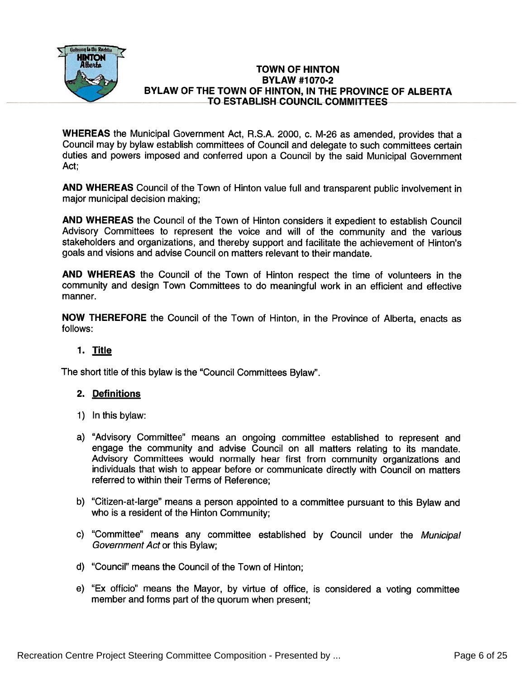

#### TOWN OF HINTON BYLAW #1070-2 BYLAW OF THE TOWN OF HINTON, IN THE PROVINCE OF ALBERTA TO ESTABLISH COUNCIL COMMITTEES

WHEREAS the Municipal Government Act, R.S.A. 2000, c. M-26 as amended, provides that a Council may by bylaw establish committees of Council and delegate to such committees certain duties and powers imposed and conferred upon <sup>a</sup> Council by the said Municipal Government Act;

AND WHEREAS Council of the Town of Hinton value full and transparent public involvement in major municipal decision making;

AND WHEREAS the Council of the Town of Hinton considers it expedient to establish Council Advisory Committees to represen<sup>t</sup> the voice and will of the community and the various stakeholders and organizations, and thereby suppor<sup>t</sup> and facilitate the achievement of Hinton's goals and visions and advise Council on matters relevant to their mandate.

AND WHEREAS the Council of the Town of Hinton respec<sup>t</sup> the time of volunteers in the community and design Town Committees to do meaningful work in an efficient and effective manner.

NOW THEREFORE the Council of the Town of Hinton, in the Province of Alberta, enacts as follows:

### 1. Title

The short title of this bylaw is the "Council Committees Bylaw".

#### 2. Definitions

- 1) Inthis bylaw:
- a) "Advisory Committee" means an ongoing committee established to represen<sup>t</sup> and engage the community and advise Council on all matters relating to its mandate. Advisory Committees would normally hear first from community organizations and individuals that wish to appear before or communicate directly with Council on matters referred to within their Terms of Reference;
- b) "Citizen-at-large" means <sup>a</sup> person appointed to <sup>a</sup> committee pursuan<sup>t</sup> to this Bylaw and who is <sup>a</sup> resident of the Hinton Community;
- c) "Committee" means any committee established by Council under the Municipal Government Act or this Bylaw;
- d) "Council" means the Council of the Town of Hinton;
- e) "Ex officio" means the Mayor, by virtue of office, is considered <sup>a</sup> voting committee member and forms par<sup>t</sup> of the quorum when present;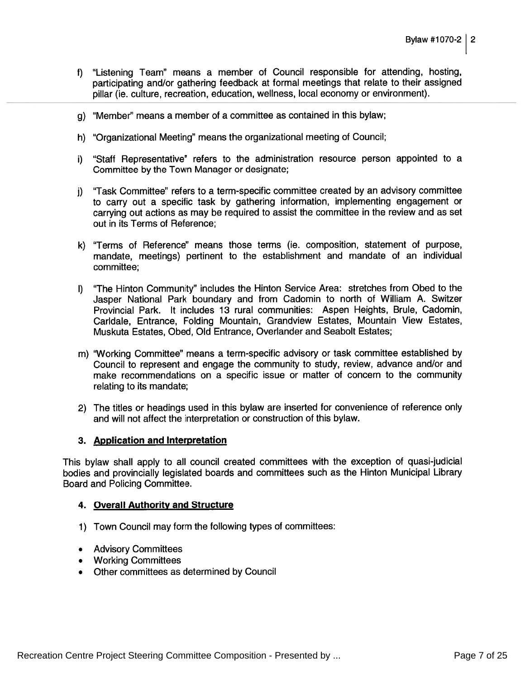- f) "Listening Team" means <sup>a</sup> member of Council responsible for attending, hosting, participating and/or gathering feedback at formal meetings that relate to their assigned <sup>p</sup>illar (ie. culture, recreation, education, weliness, local economy or environment).
- g) "Member" means a member of a committee as contained in this bylaw
- h) "Organizational Meeting" means the organizational meeting of Council;
- i) "Staff Representative" refers to the administration resource person appointed to a Committee by the Town Manager or designate;
- j) "Task Committee" refers to a term-specific committee created by an advisory committee to carry out <sup>a</sup> specific task by gathering information, implementing engagemen<sup>t</sup> or carrying out actions as may be required to assist the committee in the review and as set out in its Terms of Reference;
- k) "Terms of Reference" means those terms (ie. composition, statement of purpose, mandate, meetings) pertinent to the establishment and mandate of an individual corn <sup>m</sup> ittee;
- I) "The Hinton Community" includes the Hinton Service Area: stretches from Obed to the Jasper National Park boundary and from Cadomin to north of William A. Switzer Provincial Park. It includes 13 rural communities: Aspen Heights, Brule, Cadomin, Carldale, Entrance, Folding Mountain, Grandview Estates, Mountain View Estates, Muskuta Estates, Obed, Old Entrance, Overlander and Seabolt Estates;
- m) "Working Committee" means <sup>a</sup> term-specific advisory or task committee established by Council to represen<sup>t</sup> and engage the community to study, review, advance and/or and make recommendations on <sup>a</sup> specific issue or matter of concern to the community relating to its mandate;
- 2) The titles or headings used in this bylaw are inserted for convenience of reference only and will not affect the interpretation or construction of this bylaw.

#### 3. Application and Interpretation

This bylaw shall apply to all council created committees with the exception of quasi-judicial bodies and provincially legislated boards and committees such as the Hinton Municipal Library Board and Policing Committee.

#### 4. Overall Authority and Structure

- 1) Town Council may form the following types of committees:
- Advisory Committees
- Working Committees
- Other committees as determined by Council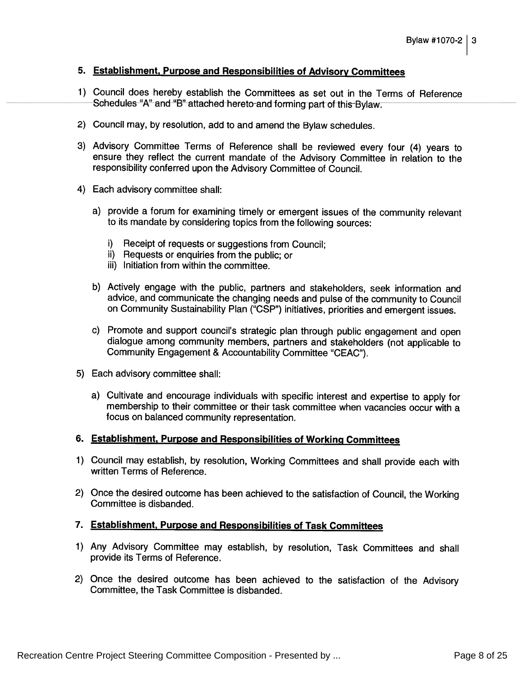#### 5. Establishment, Purpose and Responsibilities of Advisory Committees

- 1) Council does hereby establish the Committees as set out in the Terms of Reference Schedules "A" and "B" attached hereto and forming part of this Bylaw.
- 2) Council may, by resolution, add to and amend the Bylaw schedules.
- 3) Advisory Committee Terms of Reference shall be reviewed every four (4) years to ensure they reflect the current mandate of the Advisory Committee in relation to the responsibility conferred upon the Advisory Committee of Council.
- 4) Each advisory committee shall:
	- a) provide <sup>a</sup> forum for examining timely or emergent issues of the community relevant to its mandate by considering topics from the following sources:
		- i) Receipt of requests or suggestions from Council;
		- ii) Requests or enquiries from the public; or
		- iii) Initiation from within the committee.
	- b) Actively engage with the public, partners and stakeholders, seek information and advice, and communicate the changing needs and pulse of the community to Council on Community Sustainability Plan ("CSP") initiatives, priorities and emergent issues.
	- c) Promote and support council's strategic <sup>p</sup>lan through public engagement and open dialogue among community members, partners and stakeholders (not applicable to Community Engagement & Accountability Committee "CEAC").
- 5) Each advisory committee shall:
	- a) Cultivate and encourage individuals with specific interest and expertise to apply for membership to their committee or their task committee when vacancies occur with a focus on balanced community representation.

#### 6. Establishment, Purpose and Responsibilities of Working Committees

- 1) Council may establish, by resolution, Working Committees and shall provide each with written Terms of Reference.
- 2) Once the desired outcome has been achieved to the satisfaction of Council, the Working Committee is disbanded.

#### 7. Establishment, Purpose and Responsibilities of Task Committees

- 1) Any Advisory Committee may establish, by resolution, Task Committees and shall provide its Terms of Reference.
- 2) Once the desired outcome has been achieved to the satisfaction of the Advisory Committee, the Task Committee is disbanded.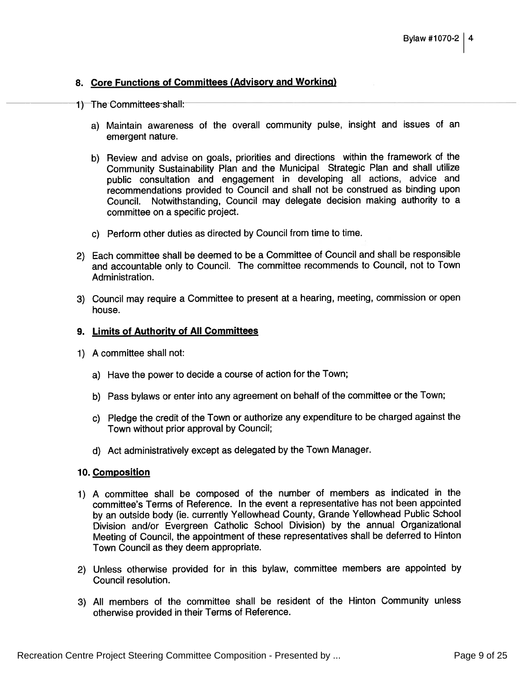#### 8. Core Functions of Committees (Advisory and Working)

- 1) The Committees shall:
	- a) Maintain awareness of the overall community pulse, insight and issues of an emergent nature.
	- b) Review and advise on goals, priorities and directions within the framework of the Community Sustainability Plan and the Municipal Strategic Plan and shall utilize public consultation and engagemen<sup>t</sup> in developing all actions, advice and recommendations provided to Council and shall not be construed as binding upon Council. Notwithstanding, Council may delegate decision making authority to a committee on <sup>a</sup> specific project.
	- c) Perform other duties as directed by Council from time to time.
- 2) Each committee shall be deemed to be <sup>a</sup> Committee of Council and shall be responsible and accountable only to Council. The committee recommends to Council, not to Town Administration.
- 3) Council may require a Committee to present at a hearing, meeting, commission or open house.

#### 9. Limits of Authority of All Committees

- 1) A committee shall not:
	- a) Have the power to decide <sup>a</sup> course of action for the Town;
	- b) Pass bylaws or enter into any agreemen<sup>t</sup> on behalf of the committee or the Town;
	- c) Pledge the credit of the Town or authorize any expenditure to be charged against the Town without prior approval by Council;
	- d) Act administratively excep<sup>t</sup> as delegated by the Town Manager.

#### 10. Composition

- 1) <sup>A</sup> committee shall be compose<sup>d</sup> of the number of members as indicated in the committee's Terms of Reference. In the event <sup>a</sup> representative has not been appointed by an outside body (ie. currently Yellowhead County, Grande Yellowhead Public School Division and/or Evergreen Catholic School Division) by the annual Organizational Meeting of Council, the appointment of these representatives shall be deferred to Hinton Town Council as they deem appropriate.
- 2) Unless otherwise provided for in this bylaw, committee members are appointed by Council resolution.
- 3) All members of the committee shall be resident of the Hinton Community unless otherwise provided in their Terms of Reference.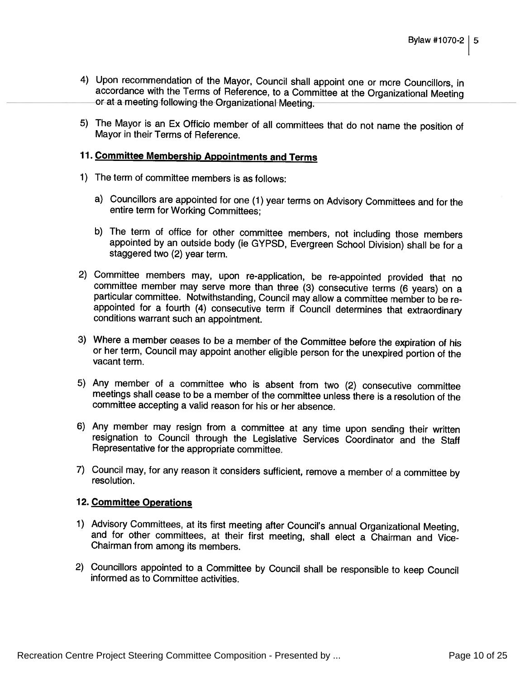- 4) Upon recommendation of the Mayor, Council shall appoint one or more Councillors, in accordance with the Terms of Reference, to <sup>a</sup> Committee at the Organizational Meeting or at <sup>a</sup> meeting following the Organizational Meeting.
- 5) The Mayor is an Ex Officio member of all committees that do not name the position of Mayor in their Terms of Reference.

### 11. Committee Membership Appointments and Terms

- 1) The term of committee members is as follows:
	- a) Councillors are appointed for one (1) year terms on Advisory Committees and for the entire term for Working Committees;
	- b) The term of office for other committee members, not including those members appointed by an outside body (ie GYPSD, Evergreen School Division) shall be for a staggered two (2) year term.
- 2) Committee members may, upon re-application, be re-appointed provided that no committee member may serve more than three (3) consecutive terms (6 years) on a particular committee. Notwithstanding, Council may allow <sup>a</sup> committee member to be re appointed for <sup>a</sup> fourth (4) consecutive term if Council determines that extraordinary conditions warrant such an appointment.
- 3) Where a member ceases to be a member of the Committee before the expiration of his or her term, Council may appoint another eligible person for the unexpired portion of the vacant term.
- 5) Any member of <sup>a</sup> committee who is absent from two (2) consecutive committee meetings shall cease to be a member of the committee unless there is a resolution of the committee accepting <sup>a</sup> valid reason for his or her absence.
- 6) Any member may resign from a committee at any time upon sending their written resignation to Council through the Legislative Services Coordinator and the Staff Representative for the appropriate committee.
- 7) Council may, for any reason it considers sufficient, remove <sup>a</sup> member of <sup>a</sup> committee by resolution.

#### 12. Committee Operations

- 1) Advisory Committees, at its first meeting after Council's annual Organizational Meeting, and for other committees, at their first meeting, shall elect a Chairman and Vice-Chairman from among its members.
- 2) Councillors appointed to <sup>a</sup> Committee by Council shall be responsible to keep Council informed as to Committee activities.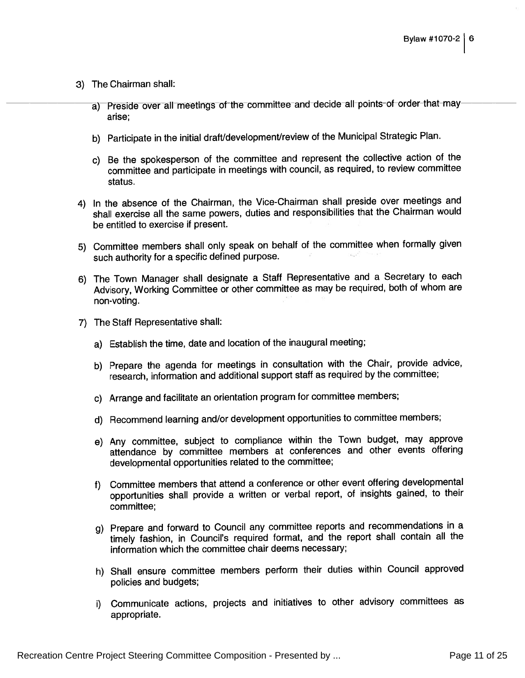- 3) The Chairman shall:
	- a) Preside over all meetings of the committee and decide all points of order that may arise;
	- b) Participate in the initial draft/development/review of the Municipal Strategic Plan.
	- c) Be the spokesperson of the committee and represen<sup>t</sup> the collective action of the committee and participate in meetings with council, as required, to review committee status.
- 4) In the absence of the Chairman, the Vice-Chairman shall preside over meetings and shall exercise all the same powers, duties and responsibilities that the Chairman would be entitled to exercise if present.
- 5) Committee members shall only spea<sup>k</sup> on behalf of the committee when formally <sup>g</sup>iven such authority for <sup>a</sup> specific defined purpose.
- 6) The Town Manager shall designate a Staff Representative and a Secretary to each Advisory, Working Committee or other committee as may be required, both of whom are non-voting.
- 7) The Staff Representative shall:
	- a) Establish the time, date and location of the inaugural meeting;
	- b) Prepare the agenda for meetings in consultation with the Chair, provide advice, research, information and additional suppor<sup>t</sup> staff as required by the committee;
	- c) Arrange and facilitate an orientation program for committee members;
	- d) Recommend learning and/or development opportunities to committee members;
	- e) Any committee, subject to compliance within the Town budget, may approve attendance by committee members at conferences and other events offering developmental opportunities related to the committee;
	- f) Committee members that attend <sup>a</sup> conference or other event offering developmental opportunities shall provide <sup>a</sup> written or verbal report, of insights gained, to their committee;
	- g) Prepare and forward to Council any committee reports and recommendations in a timely fashion, in Council's required format, and the repor<sup>t</sup> shall contain all the information which the committee chair deems necessary;
	- h) Shall ensure committee members perform their duties within Council approve<sup>d</sup> policies and budgets;
	- i) Communicate actions, projects and initiatives to other advisory committees as appropriate.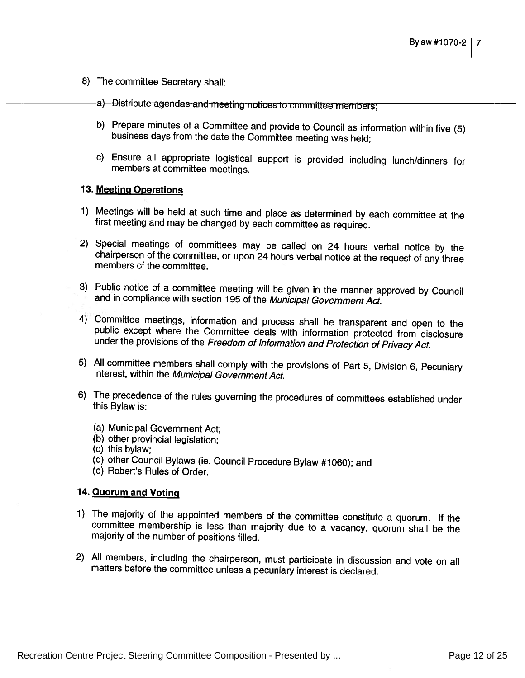- 8) The committee Secretary shall:
	- a) Distribute agendas and meeting notices to committee members;
	- b) Prepare minutes of <sup>a</sup> Committee and provide to Council as information within five (5) business days from the date the Committee meeting was held;
	- c) Ensure all appropriate logistical support is provided including lunch/dinners for members at committee meetings.

#### 13. Meeting Operations

- 1) Meetings will be held at such time and <sup>p</sup>lace as determined by each committee at the first meeting and may be changed by each committee as required.
- 2) Special meetings of committees may be called on <sup>24</sup> hours verbal notice by the chairperson of the committee, or upon <sup>24</sup> hours verbal notice at the request of any three members of the committee.
- 3) Public notice of <sup>a</sup> committee meeting will be <sup>g</sup>iven in the manner approved by Council and in compliance with section <sup>195</sup> of the Municipal Government Act.
- 4) Committee meetings, information and process shall be transparent and open to the public except where the Committee deals with information protected from disclosure under the provisions of the Freedom of Information and
- 5) All committee members shall comply with the provisions of Part 5, Division 6, Pecuniary Interest, within the Municipal Government Act.
- 6) The precedence of the rules governing the procedures of committees established under this Bylaw is:
	- (a) Municipal Government Act;
	- (b) other provincial legislation;
	- (c) this bylaw;
	- (d) other Council Bylaws (le. Council Procedure Bylaw #1060); and (e) Robert's Rules of Order.
	-

#### 14. Quorum and Voting

- 1) The majority of the appointed members of the committee constitute a quorum. If the The majority of the appointed members of the committee constitute a quorum. If the<br>committee membership is less than majority due to a vacancy, quorum shall be the committee membership is less than majority due to a vacancy, quorum shall be the<br>majority of the number of positions filled.
- 2) All members, including the chairperson, must participate in discussion and vote on all matters before the committee unless <sup>a</sup> pecuniary interest is declared.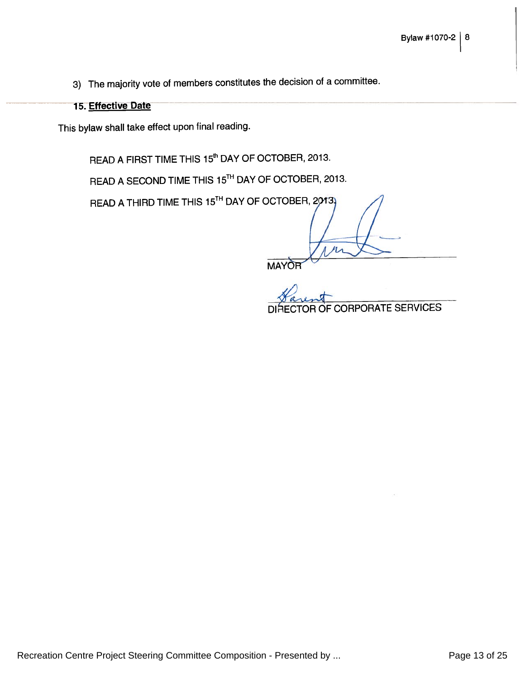3) The majority vote of members constitutes the decision of <sup>a</sup> committee.

### 15. Effective Date

This bylaw shall take effect upon final reading.

READ A FIRST TIME THIS 15<sup>th</sup> DAY OF OCTOBER, 2013.

READ A SECOND TIME THIS 15<sup>th</sup> DAY OF OCTOBER, 2013

READ A THIRD TIME THIS 15<sup>th</sup> DAY OF OCTOBER,

**MAYOR** 

CORPORATE SERVICES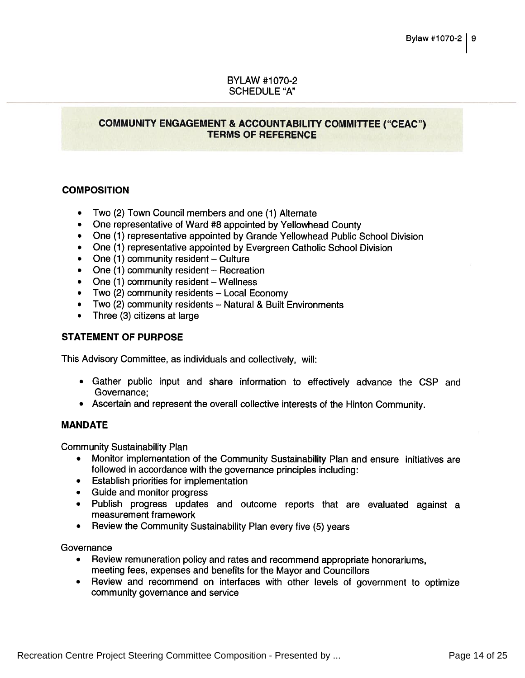#### BYLAW #1070-2 SCHEDULE "A"

#### COMMUNITY ENGAGEMENT & ACCOUNTABILITY COMMITTEE ("CEAC") TERMS OF REFERENCE

#### **COMPOSITION**

- Two (2) Town Council members and one (1) Alternate
- One representative of Ward #8 appointed by Yellowhead County
- One (1) representative appointed by Grande Yellowhead Public School Division
- One (1) representative appointed by Evergreen Catholic School Division
- One (1) community resident Culture
- One (1) community resident Recreation
- One (1) community resident Wellness
- Two (2) community residents Local Economy
- Two (2) community residents Natural & Built Environments
- Three (3) citizens at large

#### STATEMENT OF PURPOSE

This Advisory Committee, as individuals and collectively, will:

- Gather public input and share information to effectively advance the CSP and Governance;
- Ascertain and represen<sup>t</sup> the overall collective interests of the Hinton Community.

#### MANDATE

Community Sustainability Plan

- Monitor implementation of the Community Sustainability Plan and ensure initiatives are followed in accordance with the governance principles including:
- Establish priorities for implementation
- Guide and monitor progress
- Publish progress updates and outcome reports that are evaluated against a measurement framework
- Review the Community Sustainability Plan every five (5) years

**Governance** 

- Review remuneration policy and rates and recommend appropriate honorariums, meeting fees, expenses and benefits for the Mayor and Councillors
- Review and recommend on interlaces with other levels of governmen<sup>t</sup> to optimize community governance and service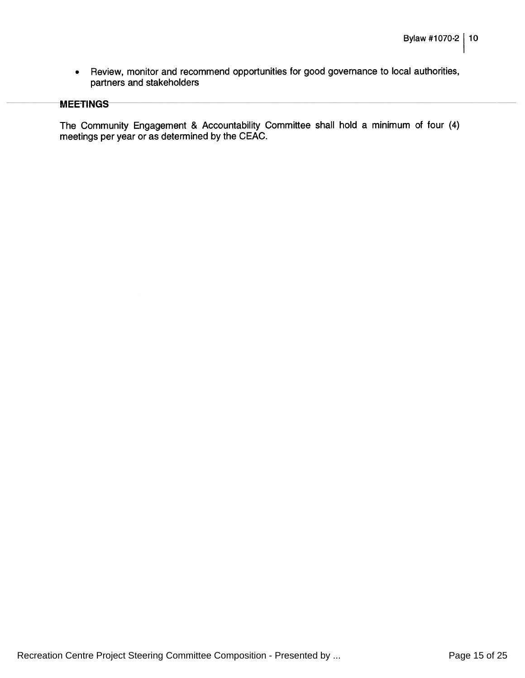$\bullet$  Review, monitor and recommend opportunities for good governance to local authorities, partners and stakeholders

#### **MEETINGS**

The Community Engagement & Accountability Committee shall hold <sup>a</sup> minimum of four (4) meetings per year or as determined by the CEAC.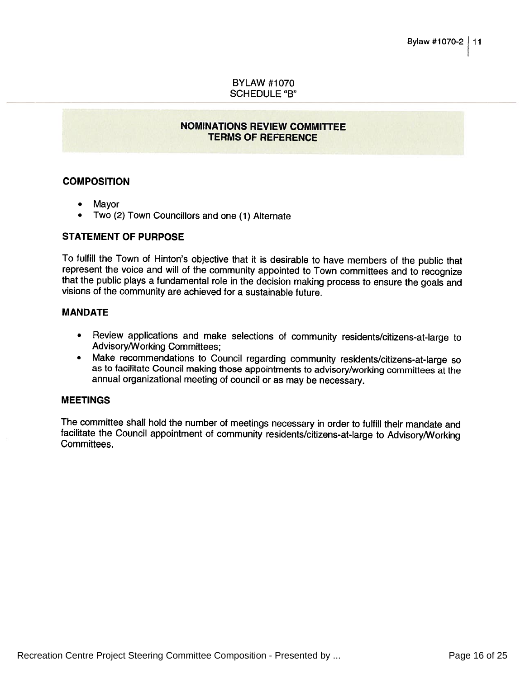#### BYLAW #1070 SCHEDULE "B"

#### NOMINATIONS REVIEW COMMITTEE TERMS OF REFERENCE

#### **COMPOSITION**

- •Mayor
- Two (2) Town Councillors and one (1) Alternate

#### STATEMENT OF PURPOSE

To fulfill the Town of Hinton's objective that it is desirable to have members of the public that represent the voice and will of the community appointed to Town committees and to recognize<br>that the public plays a fundamental role in the decision making process to ensure the goals and that the public plays a fundamental role in the decision making process to ensure the goals and<br>visions of the community are achieved for a sustainable future. visions of the community are achieved for a sustainable future.

#### MANDATE

- Review applications and make selections of community residents/citizens-at-large to Advisory/Working Committees;
- Make recommendations to Council regarding community residents/citizens-at-large so as to facilitate Council making those appointments to advisory/working committees at the annual organizational meeting of council or as may be necessary.

#### MEETINGS

The committee shall hold the number of meetings necessary in order to fulfill their mandate and facilitate the Council appointment of community residents/citizens-at-large to Advisory/Working Committees.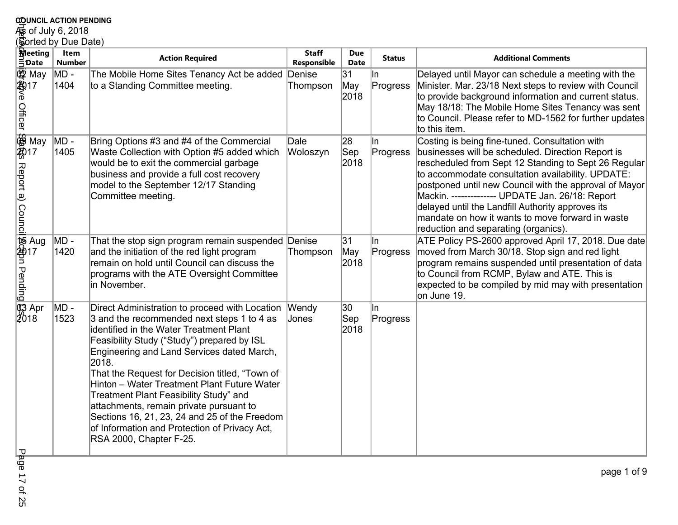## **COUNCIL ACTION PENDING<br>For of July 6, 2018<br><u>(Sorted by Due Date)</u> Item**

|                                         | <b>COUNCIL ACTION PENDING</b> |                                                                                                                                                                                                                                                                                                                                                                                                                                                                                                                                                                        |                             |                           |                  |                                                                                                                                                                                                                                                                                                                                                                                                                                                                                 |  |  |  |  |
|-----------------------------------------|-------------------------------|------------------------------------------------------------------------------------------------------------------------------------------------------------------------------------------------------------------------------------------------------------------------------------------------------------------------------------------------------------------------------------------------------------------------------------------------------------------------------------------------------------------------------------------------------------------------|-----------------------------|---------------------------|------------------|---------------------------------------------------------------------------------------------------------------------------------------------------------------------------------------------------------------------------------------------------------------------------------------------------------------------------------------------------------------------------------------------------------------------------------------------------------------------------------|--|--|--|--|
|                                         | \$s of July 6, 2018           |                                                                                                                                                                                                                                                                                                                                                                                                                                                                                                                                                                        |                             |                           |                  |                                                                                                                                                                                                                                                                                                                                                                                                                                                                                 |  |  |  |  |
|                                         | Sorted by Due Date)           |                                                                                                                                                                                                                                                                                                                                                                                                                                                                                                                                                                        |                             |                           |                  |                                                                                                                                                                                                                                                                                                                                                                                                                                                                                 |  |  |  |  |
| <b>M</b> eeting<br>$\bar{\equiv}$ :Date | Item<br><b>Number</b>         | <b>Action Required</b>                                                                                                                                                                                                                                                                                                                                                                                                                                                                                                                                                 | <b>Staff</b><br>Responsible | <b>Due</b><br><b>Date</b> | <b>Status</b>    | <b>Additional Comments</b>                                                                                                                                                                                                                                                                                                                                                                                                                                                      |  |  |  |  |
| 鸥 May<br>hayve Officer (                | MD -<br>1404                  | The Mobile Home Sites Tenancy Act be added<br>to a Standing Committee meeting.                                                                                                                                                                                                                                                                                                                                                                                                                                                                                         | Denise<br>Thompson          | 31<br>May<br>2018         | lln.<br>Progress | Delayed until Mayor can schedule a meeting with the<br>Minister. Mar. 23/18 Next steps to review with Council<br>to provide background information and current status.<br>May 18/18: The Mobile Home Sites Tenancy was sent<br>to Council. Please refer to MD-1562 for further updates<br>to this item.                                                                                                                                                                         |  |  |  |  |
| Report a) Counci                        | MD -<br>1405                  | Bring Options #3 and #4 of the Commercial<br>Waste Collection with Option #5 added which<br>would be to exit the commercial garbage<br>business and provide a full cost recovery<br>model to the September 12/17 Standing<br>Committee meeting.                                                                                                                                                                                                                                                                                                                        | Dale<br>Woloszyn            | 28<br>$ $ Sep<br>2018     | ∥n<br>Progress   | Costing is being fine-tuned. Consultation with<br>businesses will be scheduled. Direction Report is<br>rescheduled from Sept 12 Standing to Sept 26 Regular<br>to accommodate consultation availability. UPDATE:<br>postponed until new Council with the approval of Mayor<br>Mackin. -------------- UPDATE Jan. 26/18: Report<br>delayed until the Landfill Authority approves its<br>mandate on how it wants to move forward in waste<br>reduction and separating (organics). |  |  |  |  |
| ii 146為pp<br>「Marty<br>Tending」         | MD -<br>1420                  | That the stop sign program remain suspended Denise<br>and the initiation of the red light program<br>remain on hold until Council can discuss the<br>programs with the ATE Oversight Committee<br>in November.                                                                                                                                                                                                                                                                                                                                                         | Thompson                    | 31<br>May<br>2018         | ∥n<br>Progress   | ATE Policy PS-2600 approved April 17, 2018. Due date<br>moved from March 30/18. Stop sign and red light<br>program remains suspended until presentation of data<br>to Council from RCMP, Bylaw and ATE. This is<br>expected to be compiled by mid may with presentation<br>on June 19.                                                                                                                                                                                          |  |  |  |  |
| ரே Apr<br>2018                          | MD -<br>1523                  | Direct Administration to proceed with Location Wendy<br>3 and the recommended next steps 1 to 4 as<br>identified in the Water Treatment Plant<br>Feasibility Study ("Study") prepared by ISL<br>Engineering and Land Services dated March,<br>2018.<br>That the Request for Decision titled, "Town of<br>Hinton - Water Treatment Plant Future Water<br>Treatment Plant Feasibility Study" and<br>attachments, remain private pursuant to<br>Sections 16, 21, 23, 24 and 25 of the Freedom<br>of Information and Protection of Privacy Act,<br>RSA 2000, Chapter F-25. | Jones                       | 30<br>Sep<br>2018         | ∥n<br>Progress   |                                                                                                                                                                                                                                                                                                                                                                                                                                                                                 |  |  |  |  |
| ᠊ᠣ                                      |                               |                                                                                                                                                                                                                                                                                                                                                                                                                                                                                                                                                                        |                             |                           |                  |                                                                                                                                                                                                                                                                                                                                                                                                                                                                                 |  |  |  |  |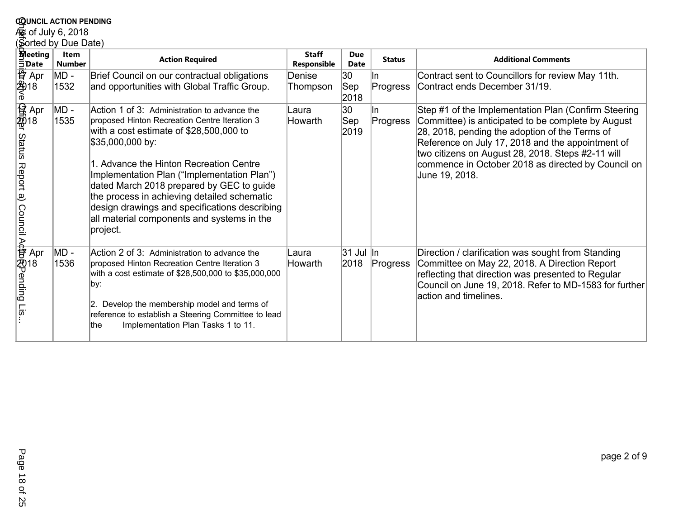|                                                                                                                                         | <b>COUNCIL ACTION PENDING</b> |                                                                                                                                                                                                                                                                                                                                                                                                                                                               |                             |                                |                  |                                                                                                                                                                                                                                                                                                                                                |  |  |  |  |
|-----------------------------------------------------------------------------------------------------------------------------------------|-------------------------------|---------------------------------------------------------------------------------------------------------------------------------------------------------------------------------------------------------------------------------------------------------------------------------------------------------------------------------------------------------------------------------------------------------------------------------------------------------------|-----------------------------|--------------------------------|------------------|------------------------------------------------------------------------------------------------------------------------------------------------------------------------------------------------------------------------------------------------------------------------------------------------------------------------------------------------|--|--|--|--|
|                                                                                                                                         | es of July 6, 2018            |                                                                                                                                                                                                                                                                                                                                                                                                                                                               |                             |                                |                  |                                                                                                                                                                                                                                                                                                                                                |  |  |  |  |
|                                                                                                                                         | Sorted by Due Date)           |                                                                                                                                                                                                                                                                                                                                                                                                                                                               |                             |                                |                  |                                                                                                                                                                                                                                                                                                                                                |  |  |  |  |
| <b>Meeting</b><br>$\bar{5}$ Date                                                                                                        | <b>Item</b><br><b>Number</b>  | <b>Action Required</b>                                                                                                                                                                                                                                                                                                                                                                                                                                        | <b>Staff</b><br>Responsible | <b>Due</b><br><b>Date</b>      | <b>Status</b>    | <b>Additional Comments</b>                                                                                                                                                                                                                                                                                                                     |  |  |  |  |
| 尊 Apr<br> 登18<br>  <sup>6</sup>                                                                                                         | MD -<br>1532                  | Brief Council on our contractual obligations<br>and opportunities with Global Traffic Group.                                                                                                                                                                                                                                                                                                                                                                  | Denise<br>Thompson          | 30<br>$ $ Sep<br>2018          | lln<br>Progress  | Contract sent to Councillors for review May 11th.<br>Contract ends December 31/19.                                                                                                                                                                                                                                                             |  |  |  |  |
| )<br><br>gight crapp<br>$\frac{1}{2}$<br>$\frac{1}{2}$<br>$\frac{1}{2}$<br>$\frac{1}{2}$<br>$\frac{1}{2}$<br>$\frac{1}{2}$<br>Report a) | MD -<br>1535                  | Action 1 of 3: Administration to advance the<br>proposed Hinton Recreation Centre Iteration 3<br>with a cost estimate of \$28,500,000 to<br>\$35,000,000 by:<br>1. Advance the Hinton Recreation Centre<br>Implementation Plan ("Implementation Plan")<br>dated March 2018 prepared by GEC to guide<br>the process in achieving detailed schematic<br>design drawings and specifications describing<br>all material components and systems in the<br>project. | Laura<br>Howarth            | 30<br>$ \mathsf{Sep} $<br>2019 | lln.<br>Progress | Step #1 of the Implementation Plan (Confirm Steering<br>Committee) is anticipated to be complete by August<br>28, 2018, pending the adoption of the Terms of<br>Reference on July 17, 2018 and the appointment of<br>two citizens on August 28, 2018. Steps #2-11 will<br>commence in October 2018 as directed by Council on<br>June 19, 2018. |  |  |  |  |
| Dawncil Actorating Lis<br>Council Actorating Lis                                                                                        | MD -<br>1536                  | Action 2 of 3: Administration to advance the<br>proposed Hinton Recreation Centre Iteration 3<br>with a cost estimate of \$28,500,000 to \$35,000,000<br>∥by:<br>2. Develop the membership model and terms of<br>reference to establish a Steering Committee to lead<br>Implementation Plan Tasks 1 to 11.<br>lthe                                                                                                                                            | Laura<br>Howarth            | 31 Jul In<br>2018              | Progress         | Direction / clarification was sought from Standing<br>Committee on May 22, 2018. A Direction Report<br>reflecting that direction was presented to Regular<br>Council on June 19, 2018. Refer to MD-1583 for further<br>laction and timelines.                                                                                                  |  |  |  |  |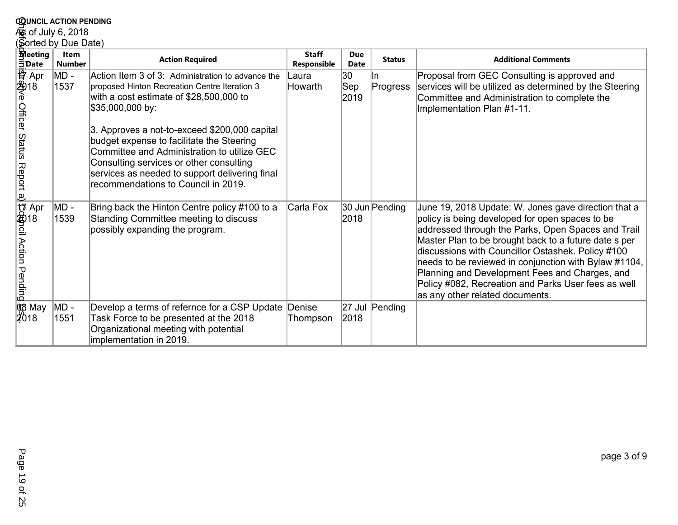| <b>COUNCIL ACTION PENDING</b>                     |                              |                                                                                                                                                                                                                                                                                                                                                                                                                                                    |                             |                                |                  |                                                                                                                                                                                                                                                                                                                                                                                                                                                                                  |  |  |  |
|---------------------------------------------------|------------------------------|----------------------------------------------------------------------------------------------------------------------------------------------------------------------------------------------------------------------------------------------------------------------------------------------------------------------------------------------------------------------------------------------------------------------------------------------------|-----------------------------|--------------------------------|------------------|----------------------------------------------------------------------------------------------------------------------------------------------------------------------------------------------------------------------------------------------------------------------------------------------------------------------------------------------------------------------------------------------------------------------------------------------------------------------------------|--|--|--|
| கு of July 6, 2018                                |                              |                                                                                                                                                                                                                                                                                                                                                                                                                                                    |                             |                                |                  |                                                                                                                                                                                                                                                                                                                                                                                                                                                                                  |  |  |  |
| Sorted by Due Date)                               |                              |                                                                                                                                                                                                                                                                                                                                                                                                                                                    |                             |                                |                  |                                                                                                                                                                                                                                                                                                                                                                                                                                                                                  |  |  |  |
| <b>Meeting</b><br>$\bar{5}$ Date                  | <b>Item</b><br><b>Number</b> | <b>Action Required</b>                                                                                                                                                                                                                                                                                                                                                                                                                             | <b>Staff</b><br>Responsible | <b>Due</b><br>Date             | <b>Status</b>    | <b>Additional Comments</b>                                                                                                                                                                                                                                                                                                                                                                                                                                                       |  |  |  |
| 容 Apr<br>2418<br>e<br>Officer Status<br>Report a) | MD -<br>1537                 | Action Item 3 of 3: Administration to advance the<br>proposed Hinton Recreation Centre Iteration 3<br>with a cost estimate of \$28,500,000 to<br>\$35,000,000 by:<br>3. Approves a not-to-exceed \$200,000 capital<br>budget expense to facilitate the Steering<br>Committee and Administration to utilize GEC<br>Consulting services or other consulting<br>services as needed to support delivering final<br>recommendations to Council in 2019. | Laura<br>Howarth            | 30<br>$ \mathsf{Sep} $<br>2019 | lln.<br>Progress | Proposal from GEC Consulting is approved and<br>services will be utilized as determined by the Steering<br>Committee and Administration to complete the<br>Implementation Plan #1-11.                                                                                                                                                                                                                                                                                            |  |  |  |
| け Apr<br>amoli Action Terricion<br>Pending        | MD -<br>1539                 | Bring back the Hinton Centre policy #100 to a<br>Standing Committee meeting to discuss<br>possibly expanding the program.                                                                                                                                                                                                                                                                                                                          | Carla Fox                   | 2018                           | 30 Jun Pending   | June 19, 2018 Update: W. Jones gave direction that a<br>policy is being developed for open spaces to be<br>addressed through the Parks, Open Spaces and Trail<br>Master Plan to be brought back to a future date s per<br>discussions with Councillor Ostashek. Policy #100<br>needs to be reviewed in conjunction with Bylaw #1104,<br>Planning and Development Fees and Charges, and<br>Policy #082, Recreation and Parks User fees as well<br>as any other related documents. |  |  |  |
| <b>QB</b> May<br>$\sqrt[3]{2018}$                 | MD -<br>1551                 | Develop a terms of refernce for a CSP Update Denise<br>Task Force to be presented at the 2018<br>Organizational meeting with potential<br>implementation in 2019.                                                                                                                                                                                                                                                                                  | Thompson                    | 27 Jul<br>2018                 | Pending          |                                                                                                                                                                                                                                                                                                                                                                                                                                                                                  |  |  |  |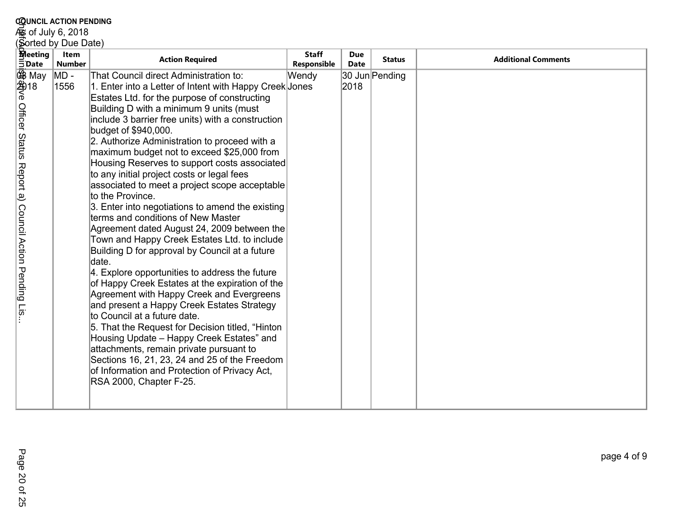| <b>COUNCIL ACTION PENDING</b>                                                                    |                       |                                                                                                                                                                                                                                                                                                                                                                                                                                                                                                                                                                                                                                                                                                                                                                                                                                                                                                                                                                                                                                                                                                                                                                                                                                                                                                           |                             |                           |                |                            |  |  |  |
|--------------------------------------------------------------------------------------------------|-----------------------|-----------------------------------------------------------------------------------------------------------------------------------------------------------------------------------------------------------------------------------------------------------------------------------------------------------------------------------------------------------------------------------------------------------------------------------------------------------------------------------------------------------------------------------------------------------------------------------------------------------------------------------------------------------------------------------------------------------------------------------------------------------------------------------------------------------------------------------------------------------------------------------------------------------------------------------------------------------------------------------------------------------------------------------------------------------------------------------------------------------------------------------------------------------------------------------------------------------------------------------------------------------------------------------------------------------|-----------------------------|---------------------------|----------------|----------------------------|--|--|--|
|                                                                                                  | கு of July 6, 2018    |                                                                                                                                                                                                                                                                                                                                                                                                                                                                                                                                                                                                                                                                                                                                                                                                                                                                                                                                                                                                                                                                                                                                                                                                                                                                                                           |                             |                           |                |                            |  |  |  |
| Sorted by Due Date)                                                                              |                       |                                                                                                                                                                                                                                                                                                                                                                                                                                                                                                                                                                                                                                                                                                                                                                                                                                                                                                                                                                                                                                                                                                                                                                                                                                                                                                           |                             |                           |                |                            |  |  |  |
| <b>Meeting</b><br>$\bar{5}$ Date                                                                 | Item<br><b>Number</b> | <b>Action Required</b>                                                                                                                                                                                                                                                                                                                                                                                                                                                                                                                                                                                                                                                                                                                                                                                                                                                                                                                                                                                                                                                                                                                                                                                                                                                                                    | <b>Staff</b><br>Responsible | <b>Due</b><br><b>Date</b> | <b>Status</b>  | <b>Additional Comments</b> |  |  |  |
| ④<br>第 May<br>含18<br>6<br>Officer Status<br>Report a)<br>Council Action Pending<br>$\frac{1}{2}$ | MD -<br>1556          | That Council direct Administration to:<br>1. Enter into a Letter of Intent with Happy Creek Jones<br>Estates Ltd. for the purpose of constructing<br>Building D with a minimum 9 units (must<br>include 3 barrier free units) with a construction<br>budget of \$940,000.<br>2. Authorize Administration to proceed with a<br>maximum budget not to exceed \$25,000 from<br>Housing Reserves to support costs associated<br>to any initial project costs or legal fees<br>associated to meet a project scope acceptable<br>to the Province.<br>3. Enter into negotiations to amend the existing<br>terms and conditions of New Master<br>Agreement dated August 24, 2009 between the<br>Town and Happy Creek Estates Ltd. to include<br>Building D for approval by Council at a future<br>ldate.<br>4. Explore opportunities to address the future<br>of Happy Creek Estates at the expiration of the<br>Agreement with Happy Creek and Evergreens<br>and present a Happy Creek Estates Strategy<br>to Council at a future date.<br>5. That the Request for Decision titled, "Hinton<br>Housing Update - Happy Creek Estates" and<br>attachments, remain private pursuant to<br>Sections 16, 21, 23, 24 and 25 of the Freedom<br>of Information and Protection of Privacy Act,<br>RSA 2000, Chapter F-25. | Wendy                       | 2018                      | 30 Jun Pending |                            |  |  |  |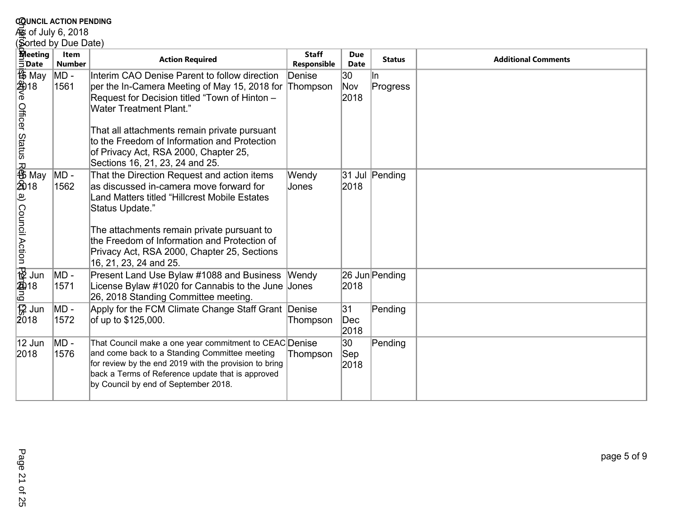## **c<u>o</u>unciL action PENDING<br>கூ of July 6, 2018<br>(Sorted by Due Date)**

| <b>COUNCIL ACTION PENDING</b>                       |                       |                                                                                                                                                                                                                                                                                                                                                                        |                             |                           |                |                            |  |  |  |  |
|-----------------------------------------------------|-----------------------|------------------------------------------------------------------------------------------------------------------------------------------------------------------------------------------------------------------------------------------------------------------------------------------------------------------------------------------------------------------------|-----------------------------|---------------------------|----------------|----------------------------|--|--|--|--|
| و of July 6, 2018                                   |                       |                                                                                                                                                                                                                                                                                                                                                                        |                             |                           |                |                            |  |  |  |  |
|                                                     | (Sorted by Due Date)  |                                                                                                                                                                                                                                                                                                                                                                        |                             |                           |                |                            |  |  |  |  |
| <b>Meeting</b><br>$\bar{5}$ Date                    | Item<br><b>Number</b> | <b>Action Required</b>                                                                                                                                                                                                                                                                                                                                                 | <b>Staff</b><br>Responsible | <b>Due</b><br><b>Date</b> | <b>Status</b>  | <b>Additional Comments</b> |  |  |  |  |
| 45 May<br>2418<br>6<br>Officer Status               | $MD -$<br>1561        | Interim CAO Denise Parent to follow direction<br>per the In-Camera Meeting of May 15, 2018 for Thompson<br>Request for Decision titled "Town of Hinton -<br><b>Water Treatment Plant."</b><br>That all attachments remain private pursuant<br>to the Freedom of Information and Protection<br>of Privacy Act, RSA 2000, Chapter 25,<br>Sections 16, 21, 23, 24 and 25. | Denise                      | 30<br>Nov<br>2018         | ∥n<br>Progress |                            |  |  |  |  |
| R<br>46<br>名<br>2018<br>ہا<br><b>Council Action</b> | MD -<br>1562          | That the Direction Request and action items<br>as discussed in-camera move forward for<br>Land Matters titled "Hillcrest Mobile Estates<br>Status Update."<br>The attachments remain private pursuant to<br>the Freedom of Information and Protection of<br>Privacy Act, RSA 2000, Chapter 25, Sections<br>16, 21, 23, 24 and 25.                                      | Wendy<br>Jones              | 2018                      | 31 Jul Pending |                            |  |  |  |  |
| $\frac{1}{2}$ Jun<br>$\frac{2}{5}$ 18               | MD -<br>1571          | Present Land Use Bylaw #1088 and Business Wendy<br>License Bylaw #1020 for Cannabis to the June Jones<br>26, 2018 Standing Committee meeting.                                                                                                                                                                                                                          |                             | 2018                      | 26 Jun Pending |                            |  |  |  |  |
| 12 Jun<br>2018                                      | MD -<br>1572          | Apply for the FCM Climate Change Staff Grant Denise<br>of up to \$125,000.                                                                                                                                                                                                                                                                                             | Thompson                    | 31<br>$\vert$ Dec<br>2018 | Pending        |                            |  |  |  |  |
| 12 Jun<br>2018                                      | MD -<br>1576          | That Council make a one year commitment to CEAC Denise<br>and come back to a Standing Committee meeting<br>for review by the end 2019 with the provision to bring<br>back a Terms of Reference update that is approved<br>by Council by end of September 2018.                                                                                                         | Thompson                    | 30<br>Sep<br>2018         | Pending        |                            |  |  |  |  |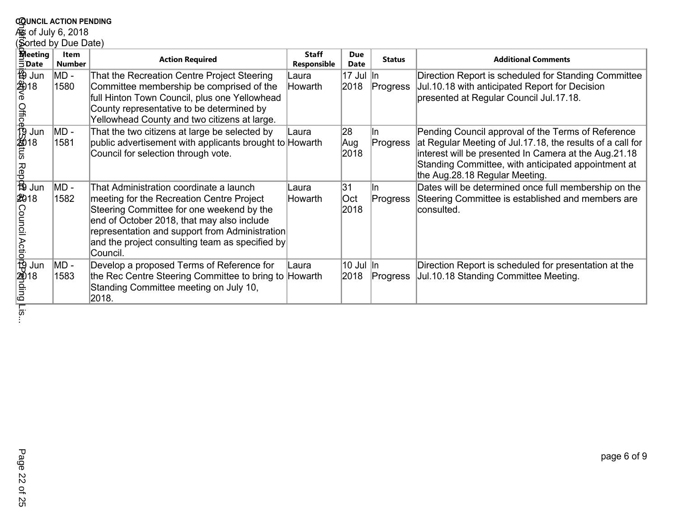|                                                          | <b>COUNCIL ACTION PENDING</b> |                                                                                                                                                                                                                                                                                                  |                             |                           |                  |                                                                                                                                                                                                                                                                    |  |  |  |  |
|----------------------------------------------------------|-------------------------------|--------------------------------------------------------------------------------------------------------------------------------------------------------------------------------------------------------------------------------------------------------------------------------------------------|-----------------------------|---------------------------|------------------|--------------------------------------------------------------------------------------------------------------------------------------------------------------------------------------------------------------------------------------------------------------------|--|--|--|--|
| es of July 6, 2018                                       |                               |                                                                                                                                                                                                                                                                                                  |                             |                           |                  |                                                                                                                                                                                                                                                                    |  |  |  |  |
|                                                          | Sorted by Due Date)           |                                                                                                                                                                                                                                                                                                  |                             |                           |                  |                                                                                                                                                                                                                                                                    |  |  |  |  |
| <b>Meeting</b><br><b>5Date</b>                           | Item<br><b>Number</b>         | <b>Action Required</b>                                                                                                                                                                                                                                                                           | <b>Staff</b><br>Responsible | <b>Due</b><br><b>Date</b> | <b>Status</b>    | <b>Additional Comments</b>                                                                                                                                                                                                                                         |  |  |  |  |
| ⊕ Jun<br>2918<br>6                                       | MD -<br>1580                  | That the Recreation Centre Project Steering<br>Committee membership be comprised of the<br>full Hinton Town Council, plus one Yellowhead<br>County representative to be determined by<br>Yellowhead County and two citizens at large.                                                            | Laura<br>Howarth            | 17 Jul lin<br>2018        | Progress         | Direction Report is scheduled for Standing Committee<br>Jul.10.18 with anticipated Report for Decision<br>presented at Regular Council Jul.17.18.                                                                                                                  |  |  |  |  |
| Jun<br>a<br>Bo<br>Bo Jun                                 | MD -<br>1581                  | That the two citizens at large be selected by<br>public advertisement with applicants brought to Howarth<br>Council for selection through vote.                                                                                                                                                  | Laura                       | 28<br>Aug<br>2018         | lln.<br>Progress | Pending Council approval of the Terms of Reference<br>at Regular Meeting of Jul.17.18, the results of a call for<br>interest will be presented In Camera at the Aug.21.18<br>Standing Committee, with anticipated appointment at<br>the Aug.28.18 Regular Meeting. |  |  |  |  |
| 2018<br>a = 음<br>Council Actio <mark>r</mark> ଫିନ୍ଗାding | MD -<br>1582                  | That Administration coordinate a launch<br>meeting for the Recreation Centre Project<br>Steering Committee for one weekend by the<br>end of October 2018, that may also include<br>representation and support from Administration<br>and the project consulting team as specified by<br>Council. | Laura<br>Howarth            | 31<br> Oct<br>2018        | lln.<br>Progress | Dates will be determined once full membership on the<br>Steering Committee is established and members are<br>consulted.                                                                                                                                            |  |  |  |  |
| Jun                                                      | MD -<br>1583                  | Develop a proposed Terms of Reference for<br>the Rec Centre Steering Committee to bring to Howarth<br>Standing Committee meeting on July 10,<br>2018.                                                                                                                                            | Laura                       | 10 Jul  In<br>2018        | Progress         | Direction Report is scheduled for presentation at the<br>Jul.10.18 Standing Committee Meeting.                                                                                                                                                                     |  |  |  |  |
| <u>eid</u>                                               |                               |                                                                                                                                                                                                                                                                                                  |                             |                           |                  |                                                                                                                                                                                                                                                                    |  |  |  |  |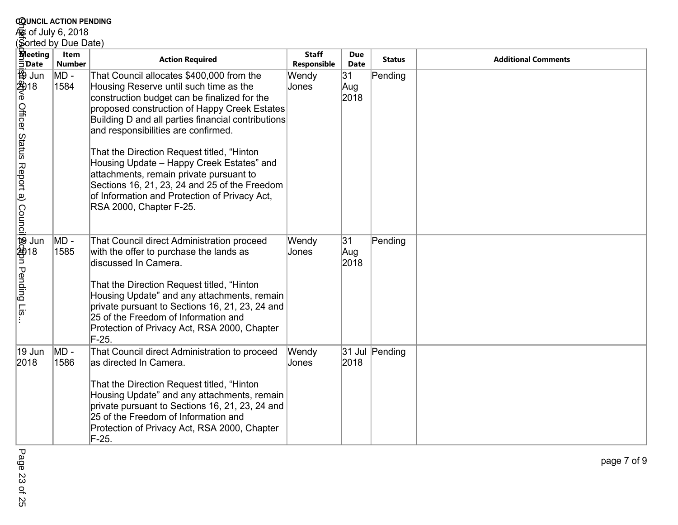| <b>COUNCIL ACTION PENDING</b>                                                  |                              |                                                                                                                                                                                                                                                                                                                                                                                                                                                                                                                                                     |                             |                    |                |                            |  |  |  |
|--------------------------------------------------------------------------------|------------------------------|-----------------------------------------------------------------------------------------------------------------------------------------------------------------------------------------------------------------------------------------------------------------------------------------------------------------------------------------------------------------------------------------------------------------------------------------------------------------------------------------------------------------------------------------------------|-----------------------------|--------------------|----------------|----------------------------|--|--|--|
| கு of July 6, 2018                                                             |                              |                                                                                                                                                                                                                                                                                                                                                                                                                                                                                                                                                     |                             |                    |                |                            |  |  |  |
| Sorted by Due Date)                                                            |                              |                                                                                                                                                                                                                                                                                                                                                                                                                                                                                                                                                     |                             |                    |                |                            |  |  |  |
| <b>Meeting</b><br><b>EDate</b>                                                 | <b>Item</b><br><b>Number</b> | <b>Action Required</b>                                                                                                                                                                                                                                                                                                                                                                                                                                                                                                                              | <b>Staff</b><br>Responsible | <b>Due</b><br>Date | <b>Status</b>  | <b>Additional Comments</b> |  |  |  |
| (<br>49918<br>Text Second<br>Contractor<br>Officer Status Report a)<br>Council | MD -<br>1584                 | That Council allocates \$400,000 from the<br>Housing Reserve until such time as the<br>construction budget can be finalized for the<br>proposed construction of Happy Creek Estates<br>Building D and all parties financial contributions<br>and responsibilities are confirmed.<br>That the Direction Request titled, "Hinton<br>Housing Update - Happy Creek Estates" and<br>attachments, remain private pursuant to<br>Sections 16, 21, 23, 24 and 25 of the Freedom<br>of Information and Protection of Privacy Act,<br>RSA 2000, Chapter F-25. | Wendy<br>Jones              | 31<br>Aug<br>2018  | Pending        |                            |  |  |  |
| l ge<br>9 ge<br>il \$c\$pn Pending I<br>$\overline{\overline{18}}$             | MD -<br>1585                 | That Council direct Administration proceed<br>with the offer to purchase the lands as<br>discussed In Camera.<br>That the Direction Request titled, "Hinton"<br>Housing Update" and any attachments, remain<br>private pursuant to Sections 16, 21, 23, 24 and<br>25 of the Freedom of Information and<br>Protection of Privacy Act, RSA 2000, Chapter<br>F-25.                                                                                                                                                                                     | Wendy<br>Jones              | 31<br>Aug<br>2018  | Pending        |                            |  |  |  |
| 19 Jun<br>2018                                                                 | MD -<br>1586                 | That Council direct Administration to proceed<br>as directed In Camera.<br>That the Direction Request titled, "Hinton<br>Housing Update" and any attachments, remain<br>private pursuant to Sections 16, 21, 23, 24 and<br>25 of the Freedom of Information and<br>Protection of Privacy Act, RSA 2000, Chapter<br>$F-25.$                                                                                                                                                                                                                          | Wendy<br>Jones              | 2018               | 31 Jul Pending |                            |  |  |  |

page 7 of 9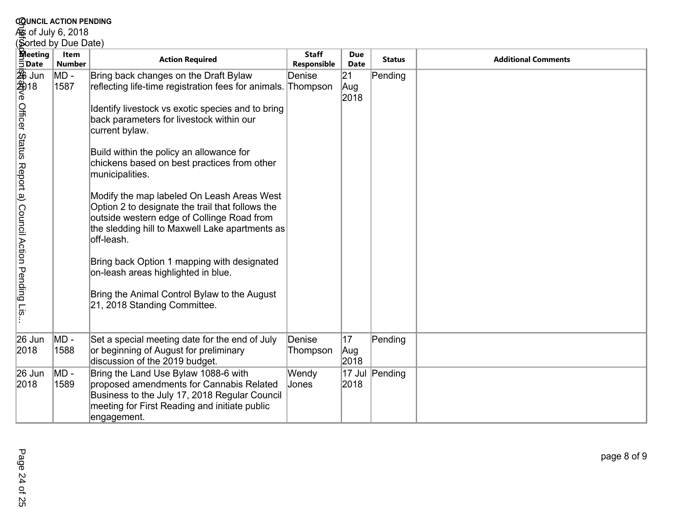|                                         | <b>COUNCIL ACTION PENDING</b> |                                                                                                                                                                                                               |                             |                           |                |                            |  |  |  |
|-----------------------------------------|-------------------------------|---------------------------------------------------------------------------------------------------------------------------------------------------------------------------------------------------------------|-----------------------------|---------------------------|----------------|----------------------------|--|--|--|
| கு of July 6, 2018                      |                               |                                                                                                                                                                                                               |                             |                           |                |                            |  |  |  |
| Sorted by Due Date)                     |                               |                                                                                                                                                                                                               |                             |                           |                |                            |  |  |  |
| <b>Meeting</b><br>$\bar{5}$ Date        | <b>Item</b><br><b>Number</b>  | <b>Action Required</b>                                                                                                                                                                                        | <b>Staff</b><br>Responsible | <b>Due</b><br><b>Date</b> | <b>Status</b>  | <b>Additional Comments</b> |  |  |  |
|                                         | MD -                          | Bring back changes on the Draft Bylaw                                                                                                                                                                         | Denise                      | 21                        | Pending        |                            |  |  |  |
| 変 Jun<br>24918<br>e c                   | 1587                          | reflecting life-time registration fees for animals. Thompson                                                                                                                                                  |                             | Aug<br>2018               |                |                            |  |  |  |
| Officer Status                          |                               | Identify livestock vs exotic species and to bring<br>back parameters for livestock within our<br>current bylaw.                                                                                               |                             |                           |                |                            |  |  |  |
| Report a)                               |                               | Build within the policy an allowance for<br>chickens based on best practices from other<br>municipalities.                                                                                                    |                             |                           |                |                            |  |  |  |
| <b>Council Action</b>                   |                               | Modify the map labeled On Leash Areas West<br>Option 2 to designate the trail that follows the<br>outside western edge of Collinge Road from<br>the sledding hill to Maxwell Lake apartments as<br>off-leash. |                             |                           |                |                            |  |  |  |
| Pending<br>$\overline{\overline{18}}$ . |                               | Bring back Option 1 mapping with designated<br>on-leash areas highlighted in blue.<br>Bring the Animal Control Bylaw to the August<br>21, 2018 Standing Committee.                                            |                             |                           |                |                            |  |  |  |
|                                         |                               |                                                                                                                                                                                                               |                             |                           |                |                            |  |  |  |
| 26 Jun<br>2018                          | MD -<br>1588                  | Set a special meeting date for the end of July<br>or beginning of August for preliminary<br>discussion of the 2019 budget.                                                                                    | Denise<br>Thompson          | 17<br>Aug<br>2018         | Pending        |                            |  |  |  |
| 26 Jun<br>2018                          | MD -<br>1589                  | Bring the Land Use Bylaw 1088-6 with<br>proposed amendments for Cannabis Related<br>Business to the July 17, 2018 Regular Council<br>meeting for First Reading and initiate public<br>engagement.             | Wendy<br>Jones              | 2018                      | 17 Jul Pending |                            |  |  |  |

page 8 of 9